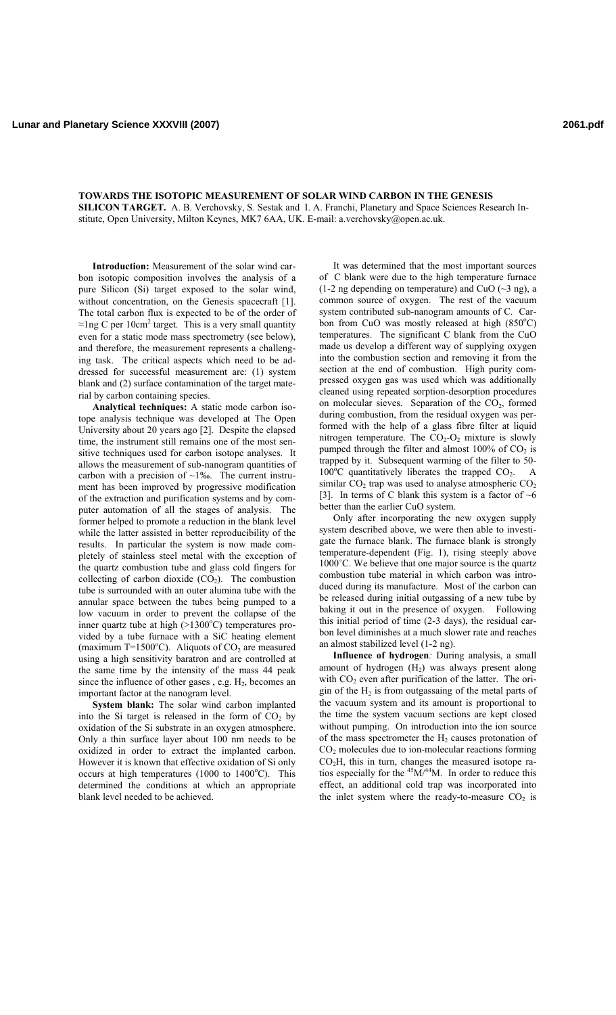**TOWARDS THE ISOTOPIC MEASUREMENT OF SOLAR WIND CARBON IN THE GENESIS SILICON TARGET.** A. B. Verchovsky, S. Sestak and I. A. Franchi, Planetary and Space Sciences Research Institute, Open University, Milton Keynes, MK7 6AA, UK. E-mail: a.verchovsky@open.ac.uk.

**Introduction:** Measurement of the solar wind carbon isotopic composition involves the analysis of a pure Silicon (Si) target exposed to the solar wind, without concentration, on the Genesis spacecraft [1]. The total carbon flux is expected to be of the order of  $\approx$ 1ng C per 10cm<sup>2</sup> target. This is a very small quantity even for a static mode mass spectrometry (see below), and therefore, the measurement represents a challenging task. The critical aspects which need to be addressed for successful measurement are: (1) system blank and (2) surface contamination of the target material by carbon containing species.

**Analytical techniques:** A static mode carbon isotope analysis technique was developed at The Open University about 20 years ago [2]. Despite the elapsed time, the instrument still remains one of the most sensitive techniques used for carbon isotope analyses. It allows the measurement of sub-nanogram quantities of carbon with a precision of  $~1\%$ . The current instrument has been improved by progressive modification of the extraction and purification systems and by computer automation of all the stages of analysis. The former helped to promote a reduction in the blank level while the latter assisted in better reproducibility of the results. In particular the system is now made completely of stainless steel metal with the exception of the quartz combustion tube and glass cold fingers for collecting of carbon dioxide  $(CO<sub>2</sub>)$ . The combustion tube is surrounded with an outer alumina tube with the annular space between the tubes being pumped to a low vacuum in order to prevent the collapse of the inner quartz tube at high  $(>1300^{\circ}C)$  temperatures provided by a tube furnace with a SiC heating element (maximum T=1500 $^{\circ}$ C). Aliquots of CO<sub>2</sub> are measured using a high sensitivity baratron and are controlled at the same time by the intensity of the mass 44 peak since the influence of other gases, e.g.  $H_2$ , becomes an important factor at the nanogram level.

**System blank:** The solar wind carbon implanted into the Si target is released in the form of  $CO<sub>2</sub>$  by oxidation of the Si substrate in an oxygen atmosphere. Only a thin surface layer about 100 nm needs to be oxidized in order to extract the implanted carbon. However it is known that effective oxidation of Si only occurs at high temperatures  $(1000$  to  $1400^{\circ}$ C). This determined the conditions at which an appropriate blank level needed to be achieved.

It was determined that the most important sources of C blank were due to the high temperature furnace  $(1-2 \text{ ng depending on temperature})$  and CuO  $(\sim 3 \text{ ng})$ , a common source of oxygen. The rest of the vacuum system contributed sub-nanogram amounts of C. Carbon from CuO was mostly released at high (850°C) temperatures. The significant C blank from the CuO made us develop a different way of supplying oxygen into the combustion section and removing it from the section at the end of combustion. High purity compressed oxygen gas was used which was additionally cleaned using repeated sorption-desorption procedures on molecular sieves. Separation of the  $CO<sub>2</sub>$ , formed during combustion, from the residual oxygen was performed with the help of a glass fibre filter at liquid nitrogen temperature. The  $CO<sub>2</sub>-O<sub>2</sub>$  mixture is slowly pumped through the filter and almost  $100\%$  of  $CO<sub>2</sub>$  is trapped by it. Subsequent warming of the filter to 50-  $100^{\circ}$ C quantitatively liberates the trapped CO<sub>2</sub>. A similar  $CO<sub>2</sub>$  trap was used to analyse atmospheric  $CO<sub>2</sub>$ [3]. In terms of C blank this system is a factor of  $\sim$ 6 better than the earlier CuO system.

Only after incorporating the new oxygen supply system described above, we were then able to investigate the furnace blank. The furnace blank is strongly temperature-dependent (Fig. 1), rising steeply above 1000˚C. We believe that one major source is the quartz combustion tube material in which carbon was introduced during its manufacture. Most of the carbon can be released during initial outgassing of a new tube by baking it out in the presence of oxygen. Following this initial period of time (2-3 days), the residual carbon level diminishes at a much slower rate and reaches an almost stabilized level (1-2 ng).

**Influence of hydrogen***:* During analysis, a small amount of hydrogen  $(H<sub>2</sub>)$  was always present along with  $CO<sub>2</sub>$  even after purification of the latter. The origin of the  $H_2$  is from outgassaing of the metal parts of the vacuum system and its amount is proportional to the time the system vacuum sections are kept closed without pumping. On introduction into the ion source of the mass spectrometer the  $H_2$  causes protonation of  $CO<sub>2</sub>$  molecules due to ion-molecular reactions forming CO2H, this in turn, changes the measured isotope ratios especially for the  $45M/44M$ . In order to reduce this effect, an additional cold trap was incorporated into the inlet system where the ready-to-measure  $CO<sub>2</sub>$  is